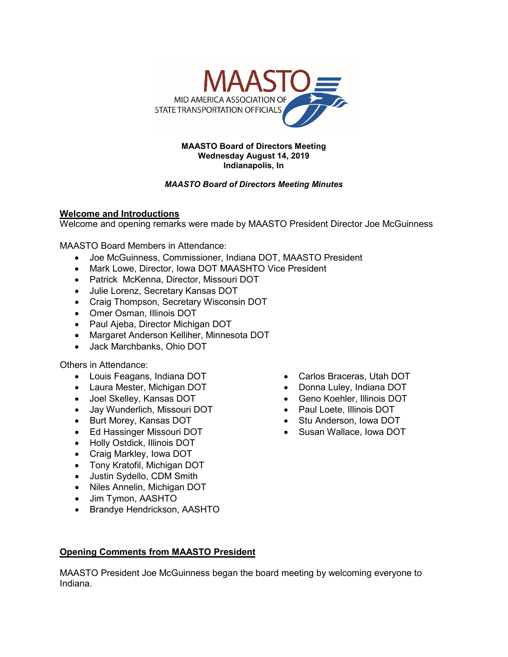

#### **MAASTO Board of Directors Meeting Wednesday August 14, 2019 Indianapolis, In**

# *MAASTO Board of Directors Meeting Minutes*

# **Welcome and Introductions**

Welcome and opening remarks were made by MAASTO President Director Joe McGuinness

MAASTO Board Members in Attendance:

- Joe McGuinness, Commissioner, Indiana DOT, MAASTO President
- Mark Lowe, Director, Iowa DOT MAASHTO Vice President
- Patrick McKenna, Director, Missouri DOT
- Julie Lorenz, Secretary Kansas DOT
- Craig Thompson, Secretary Wisconsin DOT
- Omer Osman, Illinois DOT
- Paul Ajeba, Director Michigan DOT
- Margaret Anderson Kelliher, Minnesota DOT
- Jack Marchbanks, Ohio DOT

Others in Attendance:

- Louis Feagans, Indiana DOT
- Laura Mester, Michigan DOT
- Joel Skelley, Kansas DOT
- Jay Wunderlich, Missouri DOT
- Burt Morey, Kansas DOT
- Ed Hassinger Missouri DOT
- Holly Ostdick, Illinois DOT
- Craig Markley, Iowa DOT
- Tony Kratofil, Michigan DOT
- Justin Sydello, CDM Smith
- Niles Annelin, Michigan DOT
- Jim Tymon, AASHTO
- Brandye Hendrickson, AASHTO
- Carlos Braceras, Utah DOT
- Donna Luley, Indiana DOT
- Geno Koehler, Illinois DOT
- Paul Loete, Illinois DOT
- Stu Anderson, Iowa DOT
- Susan Wallace, Iowa DOT

## **Opening Comments from MAASTO President**

MAASTO President Joe McGuinness began the board meeting by welcoming everyone to Indiana.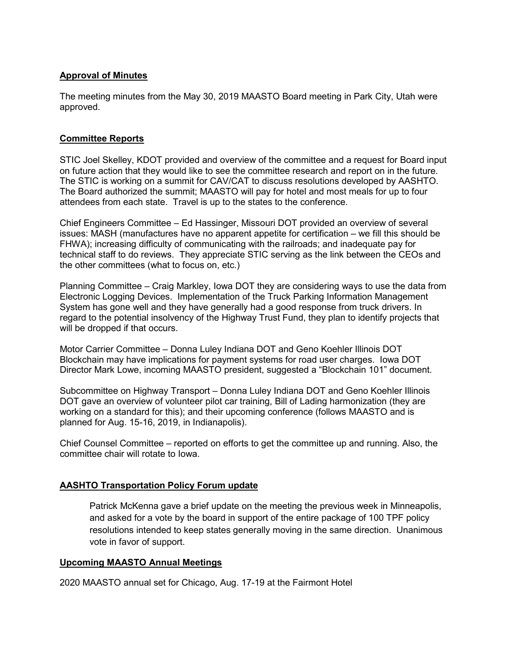## **Approval of Minutes**

The meeting minutes from the May 30, 2019 MAASTO Board meeting in Park City, Utah were approved.

## **Committee Reports**

STIC Joel Skelley, KDOT provided and overview of the committee and a request for Board input on future action that they would like to see the committee research and report on in the future. The STIC is working on a summit for CAV/CAT to discuss resolutions developed by AASHTO. The Board authorized the summit; MAASTO will pay for hotel and most meals for up to four attendees from each state. Travel is up to the states to the conference.

Chief Engineers Committee – Ed Hassinger, Missouri DOT provided an overview of several issues: MASH (manufactures have no apparent appetite for certification – we fill this should be FHWA); increasing difficulty of communicating with the railroads; and inadequate pay for technical staff to do reviews. They appreciate STIC serving as the link between the CEOs and the other committees (what to focus on, etc.)

Planning Committee – Craig Markley, Iowa DOT they are considering ways to use the data from Electronic Logging Devices. Implementation of the Truck Parking Information Management System has gone well and they have generally had a good response from truck drivers. In regard to the potential insolvency of the Highway Trust Fund, they plan to identify projects that will be dropped if that occurs.

Motor Carrier Committee – Donna Luley Indiana DOT and Geno Koehler Illinois DOT Blockchain may have implications for payment systems for road user charges. Iowa DOT Director Mark Lowe, incoming MAASTO president, suggested a "Blockchain 101" document.

Subcommittee on Highway Transport – Donna Luley Indiana DOT and Geno Koehler Illinois DOT gave an overview of volunteer pilot car training, Bill of Lading harmonization (they are working on a standard for this); and their upcoming conference (follows MAASTO and is planned for Aug. 15-16, 2019, in Indianapolis).

Chief Counsel Committee – reported on efforts to get the committee up and running. Also, the committee chair will rotate to Iowa.

## **AASHTO Transportation Policy Forum update**

Patrick McKenna gave a brief update on the meeting the previous week in Minneapolis, and asked for a vote by the board in support of the entire package of 100 TPF policy resolutions intended to keep states generally moving in the same direction. Unanimous vote in favor of support.

### **Upcoming MAASTO Annual Meetings**

2020 MAASTO annual set for Chicago, Aug. 17-19 at the Fairmont Hotel